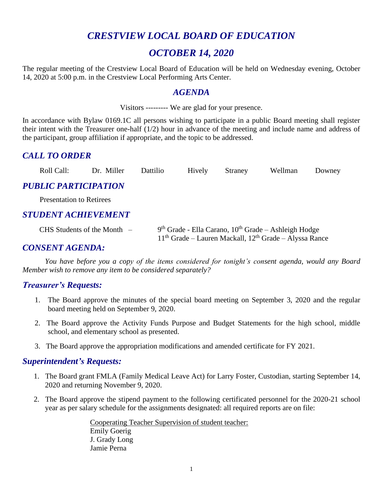# *CRESTVIEW LOCAL BOARD OF EDUCATION*

# *OCTOBER 14, 2020*

The regular meeting of the Crestview Local Board of Education will be held on Wednesday evening, October 14, 2020 at 5:00 p.m. in the Crestview Local Performing Arts Center.

### *AGENDA*

Visitors --------- We are glad for your presence.

In accordance with Bylaw 0169.1C all persons wishing to participate in a public Board meeting shall register their intent with the Treasurer one-half (1/2) hour in advance of the meeting and include name and address of the participant, group affiliation if appropriate, and the topic to be addressed.

## *CALL TO ORDER*

| Roll Call: | Dr. Miller | <b>Dattilio</b> | Hively | Straney | Wellman | Downey |
|------------|------------|-----------------|--------|---------|---------|--------|
|------------|------------|-----------------|--------|---------|---------|--------|

## *PUBLIC PARTICIPATION*

Presentation to Retirees

## *STUDENT ACHIEVEMENT*

CHS Students of the Month  $-$ <sup>th</sup> Grade - Ella Carano, 10<sup>th</sup> Grade – Ashleigh Hodge  $11<sup>th</sup>$  Grade – Lauren Mackall,  $12<sup>th</sup>$  Grade – Alyssa Rance

## *CONSENT AGENDA:*

*You have before you a copy of the items considered for tonight's consent agenda, would any Board Member wish to remove any item to be considered separately?*

## *Treasurer's Requests:*

- 1. The Board approve the minutes of the special board meeting on September 3, 2020 and the regular board meeting held on September 9, 2020.
- 2. The Board approve the Activity Funds Purpose and Budget Statements for the high school, middle school, and elementary school as presented.
- 3. The Board approve the appropriation modifications and amended certificate for FY 2021.

### *Superintendent's Requests:*

- 1. The Board grant FMLA (Family Medical Leave Act) for Larry Foster, Custodian, starting September 14, 2020 and returning November 9, 2020.
- 2. The Board approve the stipend payment to the following certificated personnel for the 2020-21 school year as per salary schedule for the assignments designated: all required reports are on file:

Cooperating Teacher Supervision of student teacher: Emily Goerig J. Grady Long Jamie Perna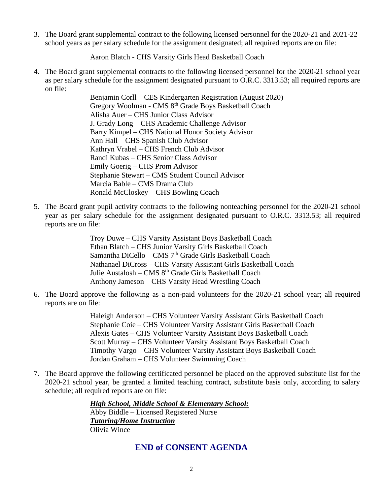3. The Board grant supplemental contract to the following licensed personnel for the 2020-21 and 2021-22 school years as per salary schedule for the assignment designated; all required reports are on file:

Aaron Blatch - CHS Varsity Girls Head Basketball Coach

4. The Board grant supplemental contracts to the following licensed personnel for the 2020-21 school year as per salary schedule for the assignment designated pursuant to O.R.C. 3313.53; all required reports are on file:

> Benjamin Corll – CES Kindergarten Registration (August 2020) Gregory Woolman - CMS 8th Grade Boys Basketball Coach Alisha Auer – CHS Junior Class Advisor J. Grady Long – CHS Academic Challenge Advisor Barry Kimpel – CHS National Honor Society Advisor Ann Hall – CHS Spanish Club Advisor Kathryn Vrabel – CHS French Club Advisor Randi Kubas – CHS Senior Class Advisor Emily Goerig – CHS Prom Advisor Stephanie Stewart – CMS Student Council Advisor Marcia Bable – CMS Drama Club Ronald McCloskey – CHS Bowling Coach

5. The Board grant pupil activity contracts to the following nonteaching personnel for the 2020-21 school year as per salary schedule for the assignment designated pursuant to O.R.C. 3313.53; all required reports are on file:

> Troy Duwe – CHS Varsity Assistant Boys Basketball Coach Ethan Blatch – CHS Junior Varsity Girls Basketball Coach Samantha DiCello – CMS 7<sup>th</sup> Grade Girls Basketball Coach Nathanael DiCross – CHS Varsity Assistant Girls Basketball Coach Julie Austalosh – CMS 8<sup>th</sup> Grade Girls Basketball Coach Anthony Jameson – CHS Varsity Head Wrestling Coach

6. The Board approve the following as a non-paid volunteers for the 2020-21 school year; all required reports are on file:

> Haleigh Anderson – CHS Volunteer Varsity Assistant Girls Basketball Coach Stephanie Coie – CHS Volunteer Varsity Assistant Girls Basketball Coach Alexis Gates – CHS Volunteer Varsity Assistant Boys Basketball Coach Scott Murray – CHS Volunteer Varsity Assistant Boys Basketball Coach Timothy Vargo – CHS Volunteer Varsity Assistant Boys Basketball Coach Jordan Graham – CHS Volunteer Swimming Coach

7. The Board approve the following certificated personnel be placed on the approved substitute list for the 2020-21 school year, be granted a limited teaching contract, substitute basis only, according to salary schedule; all required reports are on file:

> *High School, Middle School & Elementary School:* Abby Biddle – Licensed Registered Nurse *Tutoring/Home Instruction* Olivia Wince

## **END of CONSENT AGENDA**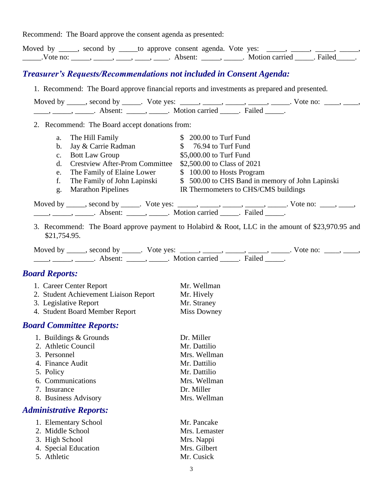Recommend: The Board approve the consent agenda as presented:

|                                                                                                                                                                                            | Moved by _____, second by _____to approve consent agenda. Vote yes: _____, _____, _____, _____,<br>Vote no: _____, _____, ____, ____, ____, Absent: _____, _____. Motion carried _____. Failed_____.                                                                                                                                                                                                                                                                                                                                                                                                                                   |
|--------------------------------------------------------------------------------------------------------------------------------------------------------------------------------------------|----------------------------------------------------------------------------------------------------------------------------------------------------------------------------------------------------------------------------------------------------------------------------------------------------------------------------------------------------------------------------------------------------------------------------------------------------------------------------------------------------------------------------------------------------------------------------------------------------------------------------------------|
| <b>Treasurer's Requests/Recommendations not included in Consent Agenda:</b>                                                                                                                |                                                                                                                                                                                                                                                                                                                                                                                                                                                                                                                                                                                                                                        |
|                                                                                                                                                                                            | 1. Recommend: The Board approve financial reports and investments as prepared and presented.                                                                                                                                                                                                                                                                                                                                                                                                                                                                                                                                           |
|                                                                                                                                                                                            | Moved by _____, second by _____. Vote yes: _____, _____, _____, _____, _____. Vote no: ____, _____,                                                                                                                                                                                                                                                                                                                                                                                                                                                                                                                                    |
| 2. Recommend: The Board accept donations from:                                                                                                                                             |                                                                                                                                                                                                                                                                                                                                                                                                                                                                                                                                                                                                                                        |
| The Hill Family<br>a.<br>Jay & Carrie Radman<br>$\mathbf b$ .<br><b>Bott Law Group</b><br>$C_{\bullet}$<br>d.<br>The Family of Elaine Lower<br>e.<br>f.<br><b>Marathon Pipelines</b><br>g. | $$200.00$ to Turf Fund<br>$$76.94$ to Turf Fund<br>\$5,000.00 to Turf Fund<br>Crestview After-Prom Committee \$2,500.00 to Class of 2021<br>\$100.00 to Hosts Program<br>The Family of John Lapinski \$500.00 to CHS Band in memory of John Lapinski<br>IR Thermometers to CHS/CMS buildings<br>Moved by _____, second by _____. Vote yes: _____, _____, _____, _____, _____. Vote no: ____, _____,                                                                                                                                                                                                                                    |
| \$21,754.95.                                                                                                                                                                               | $\frac{1}{1}, \frac{1}{1}, \frac{1}{1}, \frac{1}{1}, \frac{1}{1}, \frac{1}{1}, \frac{1}{1}, \frac{1}{1}, \frac{1}{1}, \frac{1}{1}, \frac{1}{1}, \frac{1}{1}, \frac{1}{1}, \frac{1}{1}, \frac{1}{1}, \frac{1}{1}, \frac{1}{1}, \frac{1}{1}, \frac{1}{1}, \frac{1}{1}, \frac{1}{1}, \frac{1}{1}, \frac{1}{1}, \frac{1}{1}, \frac{1}{1}, \frac{1}{1}, \frac{1}{1}, \frac{1}{1}, \frac{1}{1}, \frac{1}{1}, \frac{1}{1}, \frac{$<br>3. Recommend: The Board approve payment to Holabird & Root, LLC in the amount of \$23,970.95 and<br>Moved by _____, second by _____. Vote yes: _____, _____, _____, _____, _____. Vote no: ____, _____, |
| <b>Board Reports:</b>                                                                                                                                                                      |                                                                                                                                                                                                                                                                                                                                                                                                                                                                                                                                                                                                                                        |
| 1. Career Center Report<br>2. Student Achievement Liaison Report<br>3. Legislative Report<br>4. Student Board Member Report                                                                | Mr. Wellman<br>Mr. Hively<br>Mr. Straney<br><b>Miss Downey</b>                                                                                                                                                                                                                                                                                                                                                                                                                                                                                                                                                                         |
| <b>Board Committee Reports:</b>                                                                                                                                                            |                                                                                                                                                                                                                                                                                                                                                                                                                                                                                                                                                                                                                                        |
| 1. Buildings & Grounds<br>2. Athletic Council<br>3. Personnel<br>4. Finance Audit<br>5. Policy<br>6. Communications<br>7. Insurance<br>8. Business Advisory                                | Dr. Miller<br>Mr. Dattilio<br>Mrs. Wellman<br>Mr. Dattilio<br>Mr. Dattilio<br>Mrs. Wellman<br>Dr. Miller<br>Mrs. Wellman                                                                                                                                                                                                                                                                                                                                                                                                                                                                                                               |
| <b>Administrative Reports:</b>                                                                                                                                                             |                                                                                                                                                                                                                                                                                                                                                                                                                                                                                                                                                                                                                                        |
| 1. Elementary School<br>2. Middle School<br>3. High School<br>4. Special Education<br>5. Athletic                                                                                          | Mr. Pancake<br>Mrs. Lemaster<br>Mrs. Nappi<br>Mrs. Gilbert<br>Mr. Cusick                                                                                                                                                                                                                                                                                                                                                                                                                                                                                                                                                               |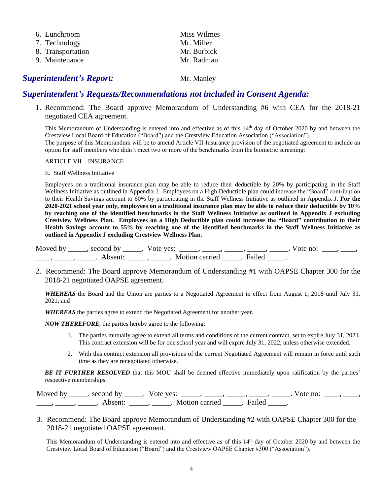| 6. Lunchroom      | Miss Wilmes |
|-------------------|-------------|
| 7. Technology     | Mr. Miller  |
| 8. Transportation | Mr. Burbick |
| 9. Maintenance    | Mr. Radman  |
|                   |             |

#### **Superintendent's Report:** Mr. Manley

#### *Superintendent's Requests/Recommendations not included in Consent Agenda:*

 1. Recommend: The Board approve Memorandum of Understanding #6 with CEA for the 2018-21 negotiated CEA agreement.

This Memorandum of Understanding is entered into and effective as of this  $14<sup>th</sup>$  day of October 2020 by and between the Crestview Local Board of Education ("Board") and the Crestview Education Association ("Association"). The purpose of this Memorandum will be to amend Article VII-Insurance provision of the negotiated agreement to include an option for staff members who didn't meet two or more of the benchmarks from the biometric screening:

#### ARTICLE VII – INSURANCE

#### E. Staff Wellness Initiative

Employees on a traditional insurance plan may be able to reduce their deductible by 20% by participating in the Staff Wellness Initiative as outlined in Appendix J. Employees on a High Deductible plan could increase the "Board" contribution to their Health Savings account to 60% by participating in the Staff Wellness Initiative as outlined in Appendix J**. For the 2020-2021 school year only, employees on a traditional insurance plan may be able to reduce their deductible by 10% by reaching one of the identified benchmarks in the Staff Wellness Initiative as outlined in Appendix J excluding Crestview Wellness Plan. Employees on a High Deductible plan could increase the "Board" contribution to their Health Savings account to 55% by reaching one of the identified benchmarks in the Staff Wellness Initiative as outlined in Appendix J excluding Crestview Wellness Plan.**

Moved by \_\_\_\_\_, second by \_\_\_\_\_. Vote yes: \_\_\_\_\_, \_\_\_\_\_, \_\_\_\_\_, \_\_\_\_\_, \_\_\_\_. Vote no: \_\_\_\_, \_\_\_\_, \_\_\_\_\_, \_\_\_\_\_, Absent: \_\_\_\_\_, \_\_\_\_\_. Motion carried \_\_\_\_\_. Failed \_\_\_\_\_.

 2. Recommend: The Board approve Memorandum of Understanding #1 with OAPSE Chapter 300 for the 2018-21 negotiated OAPSE agreement.

*WHEREAS* the Board and the Union are parties to a Negotiated Agreement in effect from August 1, 2018 until July 31, 2021; and

*WHEREAS* the parties agree to extend the Negotiated Agreement for another year.

*NOW THEREFORE*, the parties hereby agree to the following:

- 1. The parties mutually agree to extend all terms and conditions of the current contract, set to expire July 31, 2021. This contract extension will be for one school year and will expire July 31, 2022, unless otherwise extended.
- 2. With this contract extension all provisions of the current Negotiated Agreement will remain in force until such time as they are renegotiated otherwise.

**BE IT FURTHER RESOLVED** that this MOU shall be deemed effective immediately upon ratification by the parties' respective memberships.

| Moved by | second by | $\sqrt{\text{ote}}$ ves: |        | vote no: |  |
|----------|-----------|--------------------------|--------|----------|--|
|          | . heent:  | Motion carried           | Eailec |          |  |

3. Recommend: The Board approve Memorandum of Understanding #2 with OAPSE Chapter 300 for the 2018-21 negotiated OAPSE agreement.

This Memorandum of Understanding is entered into and effective as of this 14<sup>th</sup> day of October 2020 by and between the Crestview Local Board of Education ("Board") and the Crestview OAPSE Chapter #300 ("Association").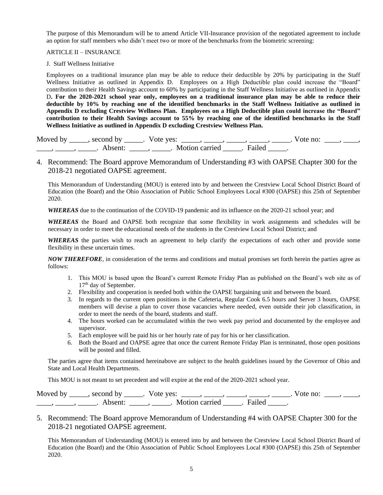The purpose of this Memorandum will be to amend Article VII-Insurance provision of the negotiated agreement to include an option for staff members who didn't meet two or more of the benchmarks from the biometric screening:

#### ARTICLE II – INSURANCE

#### J. Staff Wellness Initiative

Employees on a traditional insurance plan may be able to reduce their deductible by 20% by participating in the Staff Wellness Initiative as outlined in Appendix D. Employees on a High Deductible plan could increase the "Board" contribution to their Health Savings account to 60% by participating in the Staff Wellness Initiative as outlined in Appendix D**. For the 2020-2021 school year only, employees on a traditional insurance plan may be able to reduce their deductible by 10% by reaching one of the identified benchmarks in the Staff Wellness Initiative as outlined in Appendix D excluding Crestview Wellness Plan. Employees on a High Deductible plan could increase the "Board" contribution to their Health Savings account to 55% by reaching one of the identified benchmarks in the Staff Wellness Initiative as outlined in Appendix D excluding Crestview Wellness Plan.**

Moved by \_\_\_\_\_, second by \_\_\_\_\_. Vote yes: \_\_\_\_\_, \_\_\_\_\_, \_\_\_\_\_, \_\_\_\_\_, \_\_\_\_\_. Vote no: \_\_\_\_, \_\_\_\_, \_\_\_\_\_, \_\_\_\_\_\_, Absent: \_\_\_\_\_, \_\_\_\_\_. Motion carried \_\_\_\_\_. Failed \_\_\_\_\_.

4. Recommend: The Board approve Memorandum of Understanding #3 with OAPSE Chapter 300 for the 2018-21 negotiated OAPSE agreement.

This Memorandum of Understanding (MOU) is entered into by and between the Crestview Local School District Board of Education (the Board) and the Ohio Association of Public School Employees Local #300 (OAPSE) this 25th of September 2020.

*WHEREAS* due to the continuation of the COVID-19 pandemic and its influence on the 2020-21 school year; and

*WHEREAS* the Board and OAPSE both recognize that some flexibility in work assignments and schedules will be necessary in order to meet the educational needs of the students in the Crestview Local School District; and

*WHEREAS* the parties wish to reach an agreement to help clarify the expectations of each other and provide some flexibility in these uncertain times.

*NOW THEREFORE*, in consideration of the terms and conditions and mutual promises set forth herein the parties agree as follows:

- 1. This MOU is based upon the Board's current Remote Friday Plan as published on the Board's web site as of 17<sup>th</sup> day of September.
- 2. Flexibility and cooperation is needed both within the OAPSE bargaining unit and between the board.
- 3. In regards to the current open positions in the Cafeteria, Regular Cook 6.5 hours and Server 3 hours, OAPSE members will devise a plan to cover those vacancies where needed, even outside their job classification, in order to meet the needs of the board, students and staff.
- 4. The hours worked can be accumulated within the two week pay period and documented by the employee and supervisor.
- 5. Each employee will be paid his or her hourly rate of pay for his or her classification.
- 6. Both the Board and OAPSE agree that once the current Remote Friday Plan is terminated, those open positions will be posted and filled.

The parties agree that items contained hereinabove are subject to the health guidelines issued by the Governor of Ohio and State and Local Health Departments.

This MOU is not meant to set precedent and will expire at the end of the 2020-2021 school year.

| Moved by | second by | Vote yes:      |               | vote no |  |
|----------|-----------|----------------|---------------|---------|--|
|          | Absent    | Motion carried | <b>Failec</b> |         |  |

5. Recommend: The Board approve Memorandum of Understanding #4 with OAPSE Chapter 300 for the 2018-21 negotiated OAPSE agreement.

This Memorandum of Understanding (MOU) is entered into by and between the Crestview Local School District Board of Education (the Board) and the Ohio Association of Public School Employees Local #300 (OAPSE) this 25th of September 2020.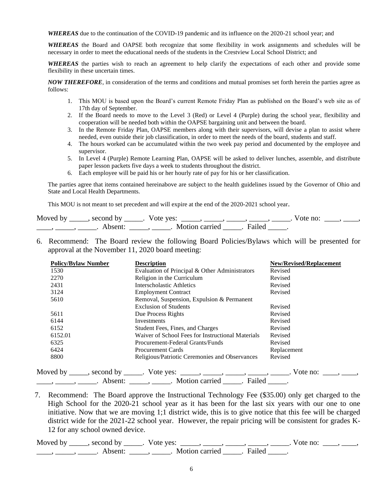*WHEREAS* due to the continuation of the COVID-19 pandemic and its influence on the 2020-21 school year; and

*WHEREAS* the Board and OAPSE both recognize that some flexibility in work assignments and schedules will be necessary in order to meet the educational needs of the students in the Crestview Local School District; and

*WHEREAS* the parties wish to reach an agreement to help clarify the expectations of each other and provide some flexibility in these uncertain times.

*NOW THEREFORE*, in consideration of the terms and conditions and mutual promises set forth herein the parties agree as follows:

- 1. This MOU is based upon the Board's current Remote Friday Plan as published on the Board's web site as of 17th day of September.
- 2. If the Board needs to move to the Level 3 (Red) or Level 4 (Purple) during the school year, flexibility and cooperation will be needed both within the OAPSE bargaining unit and between the board.
- 3. In the Remote Friday Plan, OAPSE members along with their supervisors, will devise a plan to assist where needed, even outside their job classification, in order to meet the needs of the board, students and staff.
- 4. The hours worked can be accumulated within the two week pay period and documented by the employee and supervisor.
- 5. In Level 4 (Purple) Remote Learning Plan, OAPSE will be asked to deliver lunches, assemble, and distribute paper lesson packets five days a week to students throughout the district.
- 6. Each employee will be paid his or her hourly rate of pay for his or her classification.

The parties agree that items contained hereinabove are subject to the health guidelines issued by the Governor of Ohio and State and Local Health Departments.

This MOU is not meant to set precedent and will expire at the end of the 2020-2021 school year.

| Moved by | second by | Vote yes:      |        | vote no: |  |
|----------|-----------|----------------|--------|----------|--|
|          | . heent   | Motion carried | Failed |          |  |

6. Recommend: The Board review the following Board Policies/Bylaws which will be presented for approval at the November 11, 2020 board meeting:

| <b>Policy/Bylaw Number</b> | <b>Description</b>                                | <b>New/Revised/Replacement</b> |
|----------------------------|---------------------------------------------------|--------------------------------|
| 1530                       | Evaluation of Principal & Other Administrators    | Revised                        |
| 2270                       | Religion in the Curriculum                        | Revised                        |
| 2431                       | Interscholastic Athletics                         | Revised                        |
| 3124                       | <b>Employment Contract</b>                        | Revised                        |
| 5610                       | Removal, Suspension, Expulsion & Permanent        |                                |
|                            | <b>Exclusion of Students</b>                      | Revised                        |
| 5611                       | Due Process Rights                                | Revised                        |
| 6144                       | Investments                                       | Revised                        |
| 6152                       | Student Fees, Fines, and Charges                  | Revised                        |
| 6152.01                    | Waiver of School Fees for Instructional Materials | Revised                        |
| 6325                       | Procurement-Federal Grants/Funds                  | Revised                        |
| 6424                       | Procurement Cards                                 | Replacement                    |
| 8800                       | Religious/Patriotic Ceremonies and Observances    | Revised                        |

 7. Recommend: The Board approve the Instructional Technology Fee (\$35.00) only get charged to the High School for the 2020-21 school year as it has been for the last six years with our one to one initiative. Now that we are moving 1;1 district wide, this is to give notice that this fee will be charged district wide for the 2021-22 school year. However, the repair pricing will be consistent for grades K-12 for any school owned device.

Moved by \_\_\_\_\_, second by \_\_\_\_\_. Vote yes: \_\_\_\_\_, \_\_\_\_\_, \_\_\_\_\_, \_\_\_\_\_, \_\_\_\_\_. Vote no: \_\_\_\_, \_\_\_\_\_,  $\underline{\hspace{1cm}}$ ,  $\underline{\hspace{1cm}}$ ,  $\underline{\hspace{1cm}}$ . Absent:  $\underline{\hspace{1cm}}$ ,  $\underline{\hspace{1cm}}$ . Motion carried  $\underline{\hspace{1cm}}$ . Failed  $\underline{\hspace{1cm}}$ .